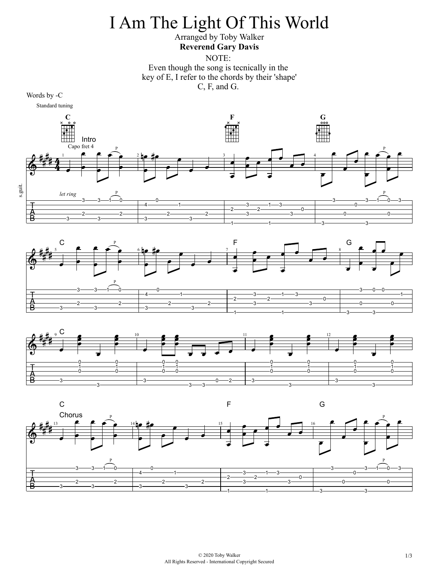## I Am The Light Of This World

## Arranged by Toby Walker **Reverend Gary Davis**

NOTE:

Even though the song is tecnically in the key of E, I refer to the chords by their 'shape' C, F, and G.







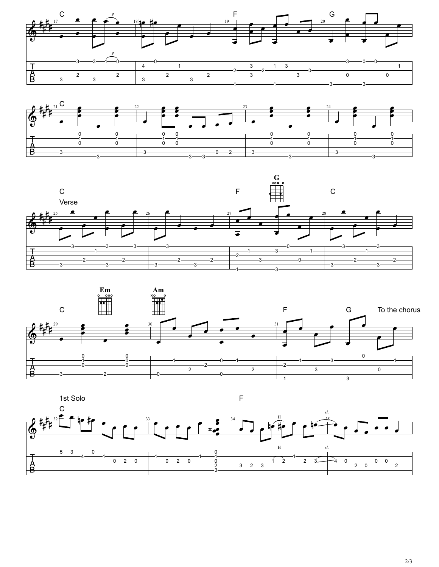